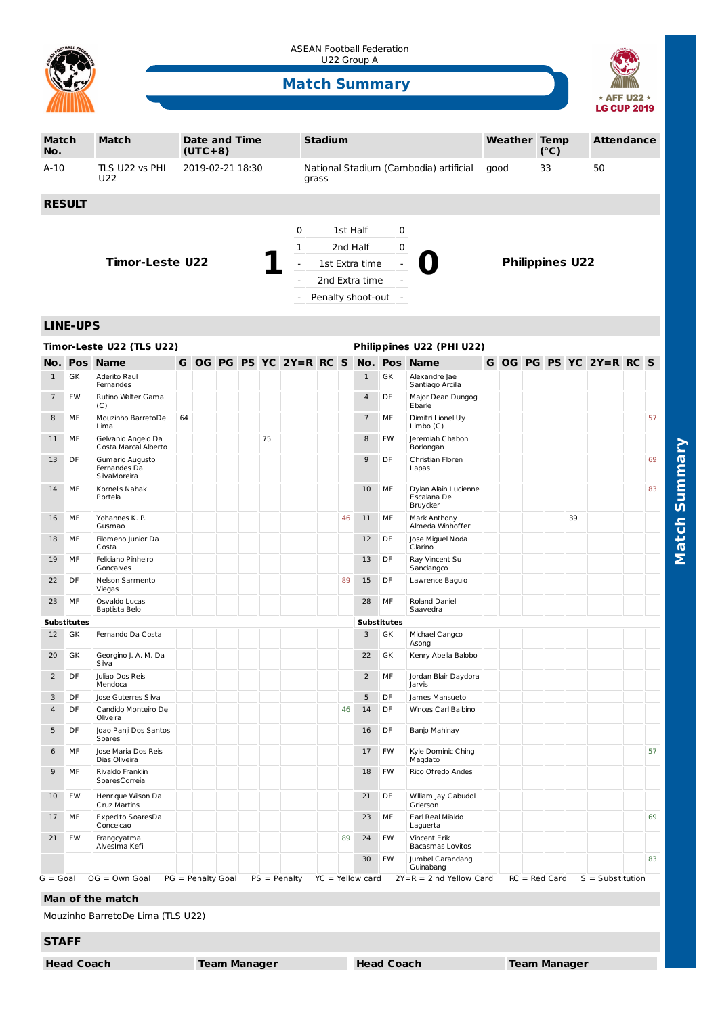

ASEAN Football Federation U22 Group A

## **Match Summary**



| <b>Match</b><br>No.                                    |                    | <b>Match</b>                                    |                  | <b>Date and Time</b><br>$(UTC+8)$ |  |  |    |                          | <b>Stadium</b>                                  |          |                    |                    |                                                 |      | <b>Weather Temp</b> |  | (°C) |                        | <b>Attendance</b>                  |  |    |
|--------------------------------------------------------|--------------------|-------------------------------------------------|------------------|-----------------------------------|--|--|----|--------------------------|-------------------------------------------------|----------|--------------------|--------------------|-------------------------------------------------|------|---------------------|--|------|------------------------|------------------------------------|--|----|
| $A-10$                                                 |                    | TLS U22 vs PHI<br>U22                           | 2019-02-21 18:30 |                                   |  |  |    |                          | National Stadium (Cambodia) artificial<br>grass |          |                    |                    |                                                 | good |                     |  | 33   |                        | 50                                 |  |    |
| <b>RESULT</b>                                          |                    |                                                 |                  |                                   |  |  |    |                          |                                                 |          |                    |                    |                                                 |      |                     |  |      |                        |                                    |  |    |
|                                                        |                    |                                                 |                  |                                   |  |  |    | 0                        |                                                 | 1st Half |                    | 0                  |                                                 |      |                     |  |      |                        |                                    |  |    |
|                                                        |                    |                                                 |                  |                                   |  |  |    | 1                        |                                                 |          | 2nd Half           | 0                  |                                                 |      |                     |  |      |                        |                                    |  |    |
|                                                        |                    | <b>Timor-Leste U22</b>                          |                  |                                   |  |  |    | $\blacksquare$           |                                                 |          | 1st Extra time     |                    |                                                 |      |                     |  |      | <b>Philippines U22</b> |                                    |  |    |
|                                                        |                    |                                                 |                  |                                   |  |  |    | $\overline{a}$           |                                                 |          | 2nd Extra time     |                    |                                                 |      |                     |  |      |                        |                                    |  |    |
|                                                        |                    |                                                 |                  |                                   |  |  |    | $\overline{\phantom{a}}$ |                                                 |          | Penalty shoot-out  | $\sim$             |                                                 |      |                     |  |      |                        |                                    |  |    |
|                                                        |                    |                                                 |                  |                                   |  |  |    |                          |                                                 |          |                    |                    |                                                 |      |                     |  |      |                        |                                    |  |    |
|                                                        | <b>LINE-UPS</b>    |                                                 |                  |                                   |  |  |    |                          |                                                 |          |                    |                    |                                                 |      |                     |  |      |                        |                                    |  |    |
| Timor-Leste U22 (TLS U22)<br>Philippines U22 (PHI U22) |                    |                                                 |                  |                                   |  |  |    |                          |                                                 |          |                    |                    |                                                 |      |                     |  |      |                        |                                    |  |    |
|                                                        |                    | <b>No. Pos Name</b>                             |                  |                                   |  |  |    | G OG PG PS YC 2Y=R RC S  |                                                 |          | No.                | Pos                | <b>Name</b>                                     |      |                     |  |      |                        | G OG PG PS YC 2Y=R RC S            |  |    |
| $\mathbf{1}$                                           | GK                 | Aderito Raul<br>Fernandes                       |                  |                                   |  |  |    |                          |                                                 |          | $\mathbf{1}$       | GK                 | Alexandre Jae<br>Santiago Arcilla               |      |                     |  |      |                        |                                    |  |    |
| $\overline{7}$                                         | FW                 | Rufino Walter Gama<br>(C)                       |                  |                                   |  |  |    |                          |                                                 |          | 4                  | DF                 | Major Dean Dungog<br>Ebarle                     |      |                     |  |      |                        |                                    |  |    |
| 8                                                      | MF                 | Mouzinho BarretoDe<br>Lima                      | 64               |                                   |  |  |    |                          |                                                 |          | $\overline{7}$     | MF                 | Dimitri Lionel Uy<br>Limbo(C)                   |      |                     |  |      |                        |                                    |  | 57 |
| 11                                                     | МF                 | Gelvanio Angelo Da<br>Costa Marcal Alberto      |                  |                                   |  |  | 75 |                          |                                                 |          | 8                  | FW                 | Jeremiah Chabon<br>Borlongan                    |      |                     |  |      |                        |                                    |  |    |
| 13                                                     | DF                 | Gumario Augusto<br>Fernandes Da<br>SilvaMoreira |                  |                                   |  |  |    |                          |                                                 |          | 9                  | DF                 | Christian Floren<br>Lapas                       |      |                     |  |      |                        |                                    |  | 69 |
| 14                                                     | MF                 | Kornelis Nahak<br>Portela                       |                  |                                   |  |  |    |                          |                                                 |          | 10                 | MF                 | Dylan Alain Lucienne<br>Escalana De<br>Bruycker |      |                     |  |      |                        |                                    |  | 83 |
| 16                                                     | MF                 | Yohannes K. P.<br>Gusmao                        |                  |                                   |  |  |    |                          |                                                 | 46       | 11                 | MF                 | Mark Anthony<br>Almeda Winhoffer                |      |                     |  |      | 39                     |                                    |  |    |
| 18                                                     | МF                 | Filomeno Junior Da<br>Costa                     |                  |                                   |  |  |    |                          |                                                 |          | 12                 | DF                 | Jose Miguel Noda<br>Clarino                     |      |                     |  |      |                        |                                    |  |    |
| 19                                                     | MF                 | Feliciano Pinheiro<br>Goncalves                 |                  |                                   |  |  |    |                          |                                                 |          | 13                 | DF                 | Ray Vincent Su<br>Sanciangco                    |      |                     |  |      |                        |                                    |  |    |
| 22                                                     | DF                 | Nelson Sarmento<br>Viegas                       |                  |                                   |  |  |    |                          |                                                 | 89       | 15                 | DF                 | Lawrence Baguio                                 |      |                     |  |      |                        |                                    |  |    |
| 23                                                     | MF                 | Osvaldo Lucas<br>Baptista Belo                  |                  |                                   |  |  |    |                          |                                                 |          | 28                 | MF                 | Roland Daniel<br>Saavedra                       |      |                     |  |      |                        |                                    |  |    |
|                                                        | <b>Substitutes</b> |                                                 |                  |                                   |  |  |    |                          |                                                 |          |                    | <b>Substitutes</b> |                                                 |      |                     |  |      |                        |                                    |  |    |
| 12                                                     | GK                 | Fernando Da Costa                               |                  |                                   |  |  |    |                          |                                                 |          | 3                  | GK                 | Michael Cangco<br>Asong                         |      |                     |  |      |                        |                                    |  |    |
| 20                                                     | GK                 | Georgino J. A. M. Da<br>Silva                   |                  |                                   |  |  |    |                          |                                                 |          | 22                 | GK                 | Kenry Abella Balobo                             |      |                     |  |      |                        |                                    |  |    |
| $\overline{a}$                                         | DF                 | Juliao Dos Reis<br>Mendoca                      |                  |                                   |  |  |    |                          |                                                 |          | $\overline{2}$     | MF                 | Jordan Blair Daydora<br>Jarvis                  |      |                     |  |      |                        |                                    |  |    |
| 3                                                      | DF                 | Jose Guterres Silva                             |                  |                                   |  |  |    |                          |                                                 |          | 5                  | DF                 | James Mansueto                                  |      |                     |  |      |                        |                                    |  |    |
| $\overline{a}$                                         | DF                 | Candido Monteiro De<br>Oliveira                 |                  |                                   |  |  |    |                          |                                                 | 46       | 14                 | DF                 | Winces Carl Balbino                             |      |                     |  |      |                        |                                    |  |    |
| 5                                                      | DF                 | Joao Panji Dos Santos<br>Soares                 |                  |                                   |  |  |    |                          |                                                 |          | 16                 | DF                 | Banjo Mahinay                                   |      |                     |  |      |                        |                                    |  |    |
| 6                                                      | МF                 | Jose Maria Dos Reis<br>Dias Oliveira            |                  |                                   |  |  |    |                          |                                                 |          | 17                 | FW                 | Kyle Dominic Ching<br>Magdato                   |      |                     |  |      |                        |                                    |  | 57 |
| 9                                                      | МF                 | Rivaldo Franklin<br>SoaresCorreia               |                  |                                   |  |  |    |                          |                                                 |          | 18                 | FW                 | Rico Ofredo Andes                               |      |                     |  |      |                        |                                    |  |    |
| 10                                                     | FW                 | Henrique Wilson Da<br>Cruz Martins              |                  |                                   |  |  |    |                          |                                                 |          | 21                 | DF                 | William Jay Cabudol<br>Grierson                 |      |                     |  |      |                        |                                    |  |    |
| 17                                                     | МF                 | Expedito SoaresDa<br>Conceicao                  |                  |                                   |  |  |    |                          |                                                 |          | 23                 | МF                 | Earl Real Mialdo<br>Laguerta                    |      |                     |  |      |                        |                                    |  | 69 |
| 21                                                     | FW                 | Frangcyatma<br>AlvesIma Kefi                    |                  |                                   |  |  |    |                          |                                                 | 89       | 24                 | FW                 | Vincent Erik<br>Bacasmas Lovitos                |      |                     |  |      |                        |                                    |  |    |
|                                                        |                    |                                                 |                  |                                   |  |  |    |                          |                                                 |          | 30                 | FW                 | Jumbel Carandang<br>Guinabang                   |      |                     |  |      |                        |                                    |  | 83 |
| G = Goal                                               |                    | $OG = Own Goal$                                 |                  | PG = Penalty Goal                 |  |  |    | $PS = Penalty$           |                                                 |          | $YC = Yellow card$ |                    | $2Y=R = 2'nd$ Yellow Card                       |      |                     |  |      |                        | $RC = Red Card$ $S = Substitution$ |  |    |
|                                                        |                    | Man of the match                                |                  |                                   |  |  |    |                          |                                                 |          |                    |                    |                                                 |      |                     |  |      |                        |                                    |  |    |

Mouzinho BarretoDe Lima (TLS U22)

## **STAFF**

**Head Coach Team Manager Head Coach Team Manager**